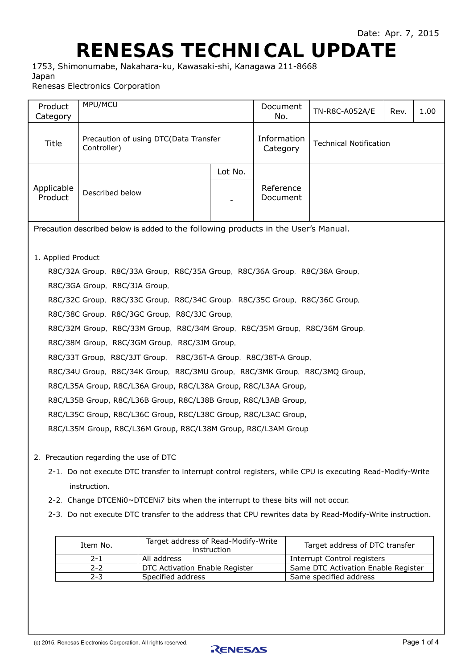## **RENESAS TECHNICAL UPDATE**

1753, Shimonumabe, Nakahara-ku, Kawasaki-shi, Kanagawa 211-8668 Japan Renesas Electronics Corporation

| Product<br>Category                                                                 | MPU/MCU                                                                                                                                                                                                                                                                                                                                                                                                                                                                                                                                                                                                                                                                                                                                                                                             |  | Document<br>No.         | TN-R8C-A052A/E                | Rev. | 1.00 |  |
|-------------------------------------------------------------------------------------|-----------------------------------------------------------------------------------------------------------------------------------------------------------------------------------------------------------------------------------------------------------------------------------------------------------------------------------------------------------------------------------------------------------------------------------------------------------------------------------------------------------------------------------------------------------------------------------------------------------------------------------------------------------------------------------------------------------------------------------------------------------------------------------------------------|--|-------------------------|-------------------------------|------|------|--|
| Title                                                                               | Precaution of using DTC(Data Transfer<br>Controller)                                                                                                                                                                                                                                                                                                                                                                                                                                                                                                                                                                                                                                                                                                                                                |  | Information<br>Category | <b>Technical Notification</b> |      |      |  |
| Applicable<br>Product                                                               | Lot No.<br>Described below                                                                                                                                                                                                                                                                                                                                                                                                                                                                                                                                                                                                                                                                                                                                                                          |  | Reference<br>Document   |                               |      |      |  |
| Precaution described below is added to the following products in the User's Manual. |                                                                                                                                                                                                                                                                                                                                                                                                                                                                                                                                                                                                                                                                                                                                                                                                     |  |                         |                               |      |      |  |
| 1. Applied Product                                                                  | R8C/32A Group, R8C/33A Group, R8C/35A Group, R8C/36A Group, R8C/38A Group,<br>R8C/3GA Group, R8C/3JA Group,<br>R8C/32C Group, R8C/33C Group, R8C/34C Group, R8C/35C Group, R8C/36C Group,<br>R8C/38C Group, R8C/3GC Group, R8C/3JC Group,<br>R8C/32M Group, R8C/33M Group, R8C/34M Group, R8C/35M Group, R8C/36M Group,<br>R8C/38M Group, R8C/3GM Group, R8C/3JM Group,<br>R8C/33T Group, R8C/3JT Group, R8C/36T-A Group, R8C/38T-A Group,<br>R8C/34U Group, R8C/34K Group, R8C/3MU Group, R8C/3MK Group, R8C/3MQ Group,<br>R8C/L35A Group, R8C/L36A Group, R8C/L38A Group, R8C/L3AA Group,<br>R8C/L35B Group, R8C/L36B Group, R8C/L38B Group, R8C/L3AB Group,<br>R8C/L35C Group, R8C/L36C Group, R8C/L38C Group, R8C/L3AC Group,<br>R8C/L35M Group, R8C/L36M Group, R8C/L38M Group, R8C/L3AM Group |  |                         |                               |      |      |  |
|                                                                                     | . The second contract of $\mathbf{R}$ is the second of $\mathbf{R}$ in $\mathbf{R}$                                                                                                                                                                                                                                                                                                                                                                                                                                                                                                                                                                                                                                                                                                                 |  |                         |                               |      |      |  |

- 2. Precaution regarding the use of DTC
	- 2-1. Do not execute DTC transfer to interrupt control registers, while CPU is executing Read-Modify-Write instruction.
	- 2-2. Change DTCENi0~DTCENi7 bits when the interrupt to these bits will not occur.
	- 2-3. Do not execute DTC transfer to the address that CPU rewrites data by Read-Modify-Write instruction.

| Item No. | Target address of Read-Modify-Write<br>instruction | Target address of DTC transfer      |
|----------|----------------------------------------------------|-------------------------------------|
| 2-1      | All address                                        | Interrupt Control registers         |
| $2 - 2$  | DTC Activation Enable Register                     | Same DTC Activation Enable Register |
| $2 - 3$  | Specified address                                  | Same specified address              |

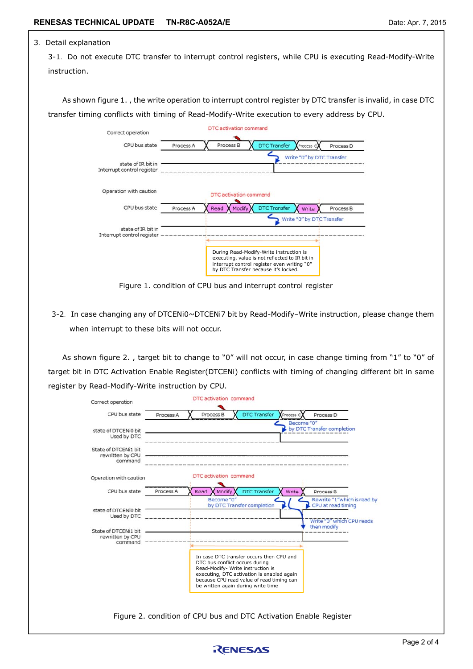## 3.Detail explanation

3-1. Do not execute DTC transfer to interrupt control registers, while CPU is executing Read-Modify-Write instruction.

As shown figure 1. , the write operation to interrupt control register by DTC transfer is invalid, in case DTC transfer timing conflicts with timing of Read-Modify-Write execution to every address by CPU.



Figure 1. condition of CPU bus and interrupt control register

3-2. In case changing any of DTCENi0~DTCENi7 bit by Read-Modify-Write instruction, please change them when interrupt to these bits will not occur.

As shown figure 2., target bit to change to "0" will not occur, in case change timing from "1" to "0" of target bit in DTC Activation Enable Register(DTCENi) conflicts with timing of changing different bit in same register by Read-Modify-Write instruction by CPU.

| Correct operation                                                                          |           | DTC activation command                                                                                    |                                                                                                                                     |                                                                                               |
|--------------------------------------------------------------------------------------------|-----------|-----------------------------------------------------------------------------------------------------------|-------------------------------------------------------------------------------------------------------------------------------------|-----------------------------------------------------------------------------------------------|
| CPU bus state                                                                              | Process A | Process B                                                                                                 | <b>DTC Transfer</b><br>Process C<br>Become "0"                                                                                      | Process D                                                                                     |
| state of DTCENi0 bit<br>Used by DTC                                                        |           |                                                                                                           |                                                                                                                                     | by DTC Transfer completion                                                                    |
| State of DTCENi1 bit<br>rewritten by CPU<br>command                                        |           |                                                                                                           |                                                                                                                                     |                                                                                               |
| Operation with caution                                                                     |           | DTC activation command                                                                                    |                                                                                                                                     |                                                                                               |
| CPU bus state                                                                              | Process A | Modify<br>Read                                                                                            | <b>DTC Transfer</b><br>Write                                                                                                        | Process B                                                                                     |
| state of DTCENi0 bit<br>Used by DTC<br>State of DTCENi1 bit<br>rewritten by CPU<br>command |           | Become "0"<br>by DTC Transfer completion                                                                  |                                                                                                                                     | Rewrite "1"which is read by<br>CPU at read timing<br>Write "0" which CPU reads<br>then modify |
|                                                                                            |           | DTC bus conflict occurs during<br>Read-Modify- Write instruction is<br>be written again during write time | In case DTC transfer occurs then CPU and<br>executing, DTC activation is enabled again<br>because CPU read value of read timing can |                                                                                               |
|                                                                                            |           |                                                                                                           | Figure 2. condition of CPU bus and DTC Activation Enable Register                                                                   |                                                                                               |

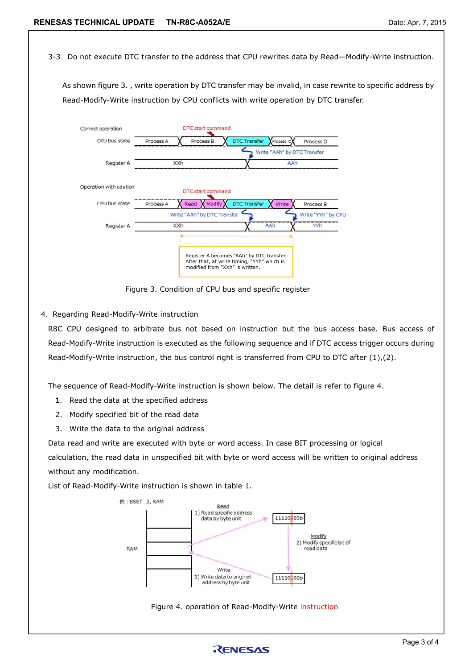3-3. Do not execute DTC transfer to the address that CPU rewrites data by Read—Modify-Write instruction.

As shown figure 3. , write operation by DTC transfer may be invalid, in case rewrite to specific address by Read-Modify-Write instruction by CPU conflicts with write operation by DTC transfer.



Figure 3. Condition of CPU bus and specific register

4. Regarding Read-Modify-Write instruction

R8C CPU designed to arbitrate bus not based on instruction but the bus access base. Bus access of Read-Modify-Write instruction is executed as the following sequence and if DTC access trigger occurs during Read-Modify-Write instruction, the bus control right is transferred from CPU to DTC after (1),(2).

The sequence of Read-Modify-Write instruction is shown below. The detail is refer to figure 4.

- 1. Read the data at the specified address
- 2. Modify specified bit of the read data
- 3. Write the data to the original address

Data read and write are executed with byte or word access. In case BIT processing or logical calculation, the read data in unspecified bit with byte or word access will be written to original address without any modification.

List of Read-Modify-Write instruction is shown in table 1.